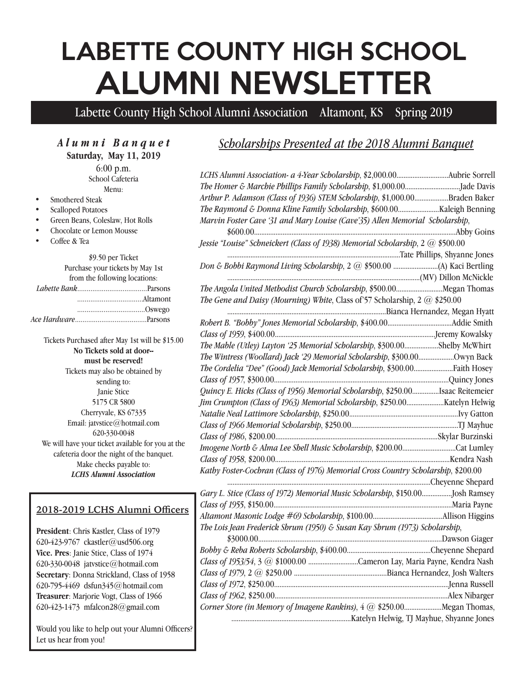# LABETTE COUNTY HIGH SCHOOL ALUMNI NEWSLETTER

Labette County High School Alumni Association Altamont, KS Spring 2019

*Alumni Banquet* **Saturday, May 11, 2019** 6:00 p.m.

School Cafeteria Menu:

- Smothered Steak
- Scalloped Potatoes
- Green Beans, Coleslaw, Hot Rolls
- Chocolate or Lemon Mousse
- Coffee & Tea

#### \$9.50 per Ticket Purchase your tickets by May 1st from the following locations:  *Labette Bank*.....................................Parsons ...................................Altamont ....................................Oswego *Ace Hardware*......................................Parsons

Tickets Purchased after May 1st will be \$15.00 **No Tickets sold at door- must be reserved!** Tickets may also be obtained by sending to: Janie Stice 5175 CR 5800 Cherryvale, KS 67335 Email: jatvstice@hotmail.com 620-330-0048 We will have your ticket available for you at the cafeteria door the night of the banquet. Make checks payable to: *LCHS Alumni Association*

#### **2018-2019 LCHS Alumni Officers**

**President**: Chris Kastler, Class of 1979 620-423-9767 ckastler@usd506.org **Vice. Pres**: Janie Stice, Class of 1974 620-330-0048 jatvstice@hotmail.com **Secretary**: Donna Strickland, Class of 1958 620-795-4469 dsfun345@hotmail.com **Treasurer**: Marjorie Vogt, Class of 1966 620-423-1473 mfalcon28@gmail.com

Would you like to help out your Alumni Officers? Let us hear from you!

### *Scholarships Presented at the 2018 Alumni Banquet*

LCHS Alumni Association- a 4-Year Scholarship, \$2,000.00..............................Aubrie Sorrell *The Homer & Marchie Phillips Family Scholarship*, \$1,000.00...............................Jade Davis  *Arthur P. Adamson (Class of 1936) STEM Scholarship*, \$1,000.00...................Braden Baker *The Raymond & Donna Kline Family Scholarship*, \$600.00.......................Kaleigh Benning *Marvin Foster Cave '31 and Mary Louise (Cave'35) Allen Memorial Scholarship*, \$600.00.................................................................................................................Abby Goins  *Jessie "Louise" Schneickert (Class of 1938) Memorial Scholarship*, 2 @ \$500.00 .................................................................................................Tate Phillips, Shyanne Jones  *Don & Bobbi Raymond Living Scholarship*, 2 @ \$500.00 .........................(A) Kaci Bertling ............................................................................................................(MV) Dillon McNickle *The Angola United Methodist Church Scholarship*, \$500.00..........................Megan Thomas *The Gene and Daisy (Mourning) White*, Class of'57 Scholarship, 2 @ \$250.00 .........................................................................................Bianca Hernandez, Megan Hyatt *Robert B. "Bobby" Jones Memorial Scholarship*, \$400.00....................................Addie Smith *Class of 1959*, \$400.00..........................................................................................Jeremy Kowalsky *The Mable (Utley) Layton '25 Memorial Scholarship*, \$300.00...................Shelby McWhirt *The Wintress (Woollard) Jack '29 Memorial Scholarship*, \$300.00....................Owyn Back *The Cordelia "Dee" (Good) Jack Memorial Scholarship*, \$300.00......................Faith Hosey *Class of 1957*, \$300.00..................................................................................................Quincy Jones *Quincy E. Hicks (Class of 1956) Memorial Scholarship*, \$250.00...............Isaac Reitemeier *Jim Crumpton (Class of 1963) Memorial Scholarship*, \$250.00.....................Katelyn Helwig *Natalie Neal Lattimore Scholarship*, \$250.00.............................................................Ivy Gatton  *Class of 1966 Memorial Scholarship*, \$250.00............................................................TJ Mayhue *Class of 1986*, \$200.00...........................................................................................Skylar Burzinski  *Imogene North & Alma Lee Shell Music Scholarship*, \$200.00..............................Cat Lumley *Class of 1958*, \$200.00..................................................................................................Kendra Nash  *Kathy Foster-Cochran (Class of 1976) Memorial Cross Country Scholarship*, \$200.00 ..................................................................................................................Cheyenne Shepard *Gary L. Stice (Class of 1972) Memorial Music Scholarship*, \$150.00.................Josh Ramsey *Class of 1955*, \$150.00....................................................................................................Maria Payne *Altamont Masonic Lodge #69 Scholarship*, \$100.00.......................................Allison Higgins *The Lois Jean Frederick Shrum (1950) & Susan Kay Shrum (1973) Scholarship*, \$3000.00.......................................................................................................Dawson Giager  *Bobby & Reba Roberts Scholarship*, \$400.00...............................................Cheyenne Shepard *Class of 1953/54*, 3 @ \$1000.00 ............................Cameron Lay, Maria Payne, Kendra Nash *Class of 1979*, 2 @ \$250.00 ....................................................Bianca Hernandez, Josh Walters *Class of 1972*, \$250.00..................................................................................................Jenna Russell *Class of 1962*, \$250.00.................................................................................................Alex Nibarger *Corner Store (in Memory of Imagene Rankins)*, 4 @ \$250.00.....................Megan Thomas, ...................................................................Katelyn Helwig, TJ Mayhue, Shyanne Jones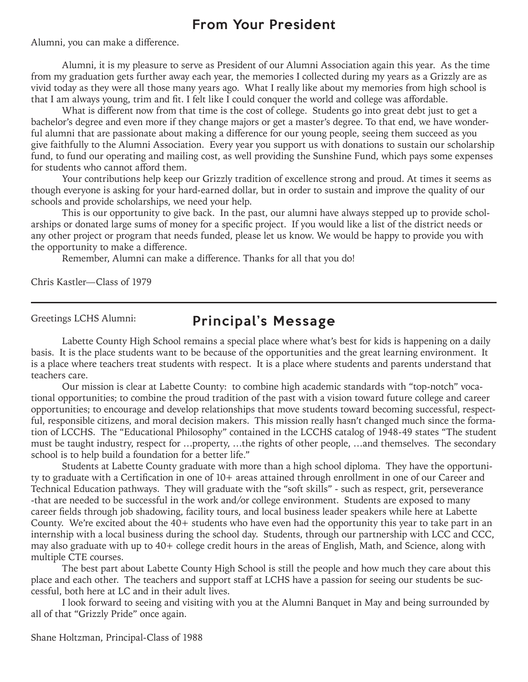## From Your President

Alumni, you can make a difference.

Alumni, it is my pleasure to serve as President of our Alumni Association again this year. As the time from my graduation gets further away each year, the memories I collected during my years as a Grizzly are as vivid today as they were all those many years ago. What I really like about my memories from high school is that I am always young, trim and fit. I felt like I could conquer the world and college was affordable.

What is different now from that time is the cost of college. Students go into great debt just to get a bachelor's degree and even more if they change majors or get a master's degree. To that end, we have wonderful alumni that are passionate about making a difference for our young people, seeing them succeed as you give faithfully to the Alumni Association. Every year you support us with donations to sustain our scholarship fund, to fund our operating and mailing cost, as well providing the Sunshine Fund, which pays some expenses for students who cannot afford them.

Your contributions help keep our Grizzly tradition of excellence strong and proud. At times it seems as though everyone is asking for your hard-earned dollar, but in order to sustain and improve the quality of our schools and provide scholarships, we need your help.

This is our opportunity to give back. In the past, our alumni have always stepped up to provide scholarships or donated large sums of money for a specific project. If you would like a list of the district needs or any other project or program that needs funded, please let us know. We would be happy to provide you with the opportunity to make a difference.

Remember, Alumni can make a difference. Thanks for all that you do!

Chris Kastler—Class of 1979

Greetings LCHS Alumni:

## Principal's Message

Labette County High School remains a special place where what's best for kids is happening on a daily basis. It is the place students want to be because of the opportunities and the great learning environment. It is a place where teachers treat students with respect. It is a place where students and parents understand that teachers care.

Our mission is clear at Labette County: to combine high academic standards with "top-notch" vocational opportunities; to combine the proud tradition of the past with a vision toward future college and career opportunities; to encourage and develop relationships that move students toward becoming successful, respectful, responsible citizens, and moral decision makers. This mission really hasn't changed much since the formation of LCCHS. The "Educational Philosophy" contained in the LCCHS catalog of 1948-49 states "The student must be taught industry, respect for …property, …the rights of other people, …and themselves. The secondary school is to help build a foundation for a better life."

Students at Labette County graduate with more than a high school diploma. They have the opportunity to graduate with a Certification in one of 10+ areas attained through enrollment in one of our Career and Technical Education pathways. They will graduate with the "soft skills" - such as respect, grit, perseverance -that are needed to be successful in the work and/or college environment. Students are exposed to many career fields through job shadowing, facility tours, and local business leader speakers while here at Labette County. We're excited about the  $40+$  students who have even had the opportunity this year to take part in an internship with a local business during the school day. Students, through our partnership with LCC and CCC, may also graduate with up to 40+ college credit hours in the areas of English, Math, and Science, along with multiple CTE courses.

The best part about Labette County High School is still the people and how much they care about this place and each other. The teachers and support staff at LCHS have a passion for seeing our students be successful, both here at LC and in their adult lives.

I look forward to seeing and visiting with you at the Alumni Banquet in May and being surrounded by all of that "Grizzly Pride" once again.

Shane Holtzman, Principal-Class of 1988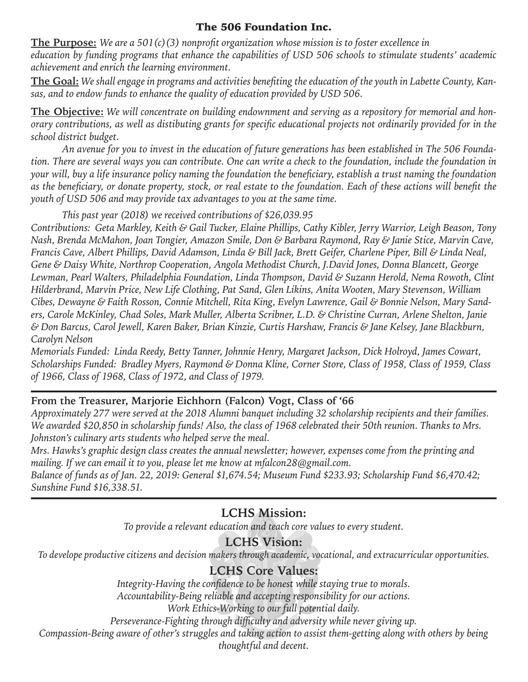#### The 506 Foundation Inc.

**The Purpose:** *We are a 501(c)(3) nonprofit organization whose mission is to foster excellence in education by funding programs that enhance the capabilities of USD 506 schools to stimulate students' academic achievement and enrich the learning environment.*

**The Goal:** *We shall engage in programs and activities benefiting the education of the youth in Labette County, Kansas, and to endow funds to enhance the quality of education provided by USD 506.*

**The Objective:** *We will concentrate on building endownment and serving as a repository for memorial and honorary contributions, as well as distibuting grants for specific educational projects not ordinarily provided for in the school district budget.*

*An avenue for you to invest in the education of future generations has been established in The 506 Foundation. There are several ways you can contribute. One can write a check to the foundation, include the foundation in your will, buy a life insurance policy naming the foundation the beneficiary, establish a trust naming the foundation as the beneficiary, or donate property, stock, or real estate to the foundation. Each of these actions will benefit the youth of USD 506 and may provide tax advantages to you at the same time.*

*This past year (2018) we received contributions of \$26,039.95*

*Contributions: Geta Markley, Keith & Gail Tucker, Elaine Phillips, Cathy Kibler, Jerry Warrior, Leigh Beason, Tony Nash, Brenda McMahon, Joan Tongier, Amazon Smile, Don & Barbara Raymond, Ray & Janie Stice, Marvin Cave, Francis Cave, Albert Phillips, David Adamson, Linda & Bill Jack, Brett Geifer, Charlene Piper, Bill & Linda Neal, Gene & Daisy White, Northrop Cooperation, Angola Methodist Church, J.David Jones, Donna Blancett, George Lewman, Pearl Walters, Philadelphia Foundation, Linda Thompson, David & Suzann Herold, Nema Rowoth, Clint Hilderbrand, Marvin Price, New Life Clothing, Pat Sand, Glen Likins, Anita Wooten, Mary Stevenson, William Cibes, Dewayne & Faith Rosson, Connie Mitchell, Rita King, Evelyn Lawrence, Gail & Bonnie Nelson, Mary Sanders, Carole McKinley, Chad Soles, Mark Muller, Alberta Scribner, L.D. & Christine Curran, Arlene Shelton, Janie & Don Barcus, Carol Jewell, Karen Baker, Brian Kinzie, Curtis Harshaw, Francis & Jane Kelsey, Jane Blackburn, Carolyn Nelson*

*Memorials Funded: Linda Reedy, Betty Tanner, Johnnie Henry, Margaret Jackson, Dick Holroyd, James Cowart, Scholarships Funded: Bradley Myers, Raymond & Donna Kline, Corner Store, Class of 1958, Class of 1959, Class of 1966, Class of 1968, Class of 1972, and Class of 1979.*

#### **From the Treasurer, Marjorie Eichhorn (Falcon) Vogt, Class of '66**

*Approximately 277 were served at the 2018 Alumni banquet including 32 scholarship recipients and their families. We awarded \$20,850 in scholarship funds! Also, the class of 1968 celebrated their 50th reunion. Thanks to Mrs. Johnston's culinary arts students who helped serve the meal.*

*Mrs. Hawks's graphic design class creates the annual newsletter; however, expenses come from the printing and mailing. If we can email it to you, please let me know at mfalcon28@gmail.com.*

*Balance of funds as of Jan. 22, 2019: General \$1,674.54; Museum Fund \$233.93; Scholarship Fund \$6,470.42; Sunshine Fund \$16,338.51.*

## **LCHS Mission:**

*To provide a relevant education and teach core values to every student.*

## **LCHS Vision:**

*To develope productive citizens and decision makers through academic, vocational, and extracurricular opportunities.*

## **LCHS Core Values:**

*Integrity-Having the confidence to be honest while staying true to morals.*

*Accountability-Being reliable and accepting responsibility for our actions.*

*Work Ethics-Working to our full potential daily.*

*Perseverance-Fighting through difficulty and adversity while never giving up.*

*Compassion-Being aware of other's struggles and taking action to assist them-getting along with others by being* 

*thoughtful and decent.*